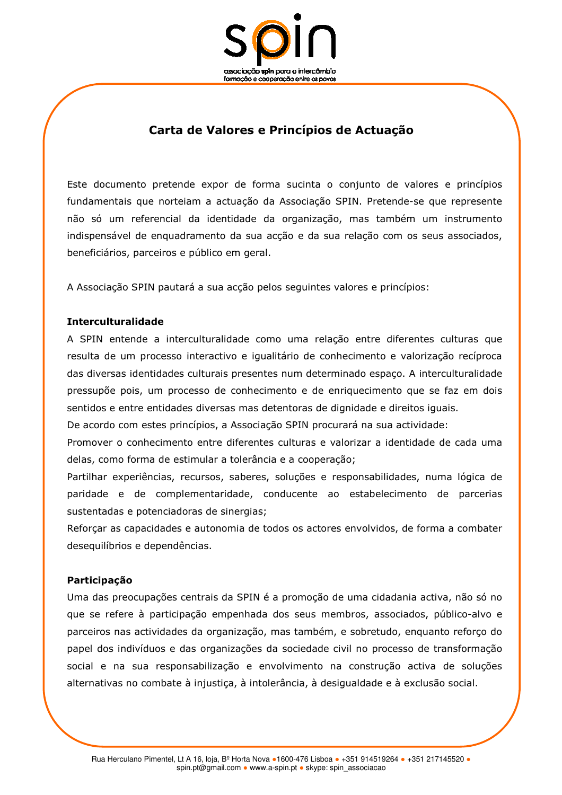

# Carta de Valores e Princípios de Actuação

Este documento pretende expor de forma sucinta o conjunto de valores e princípios fundamentais que norteiam a actuação da Associação SPIN. Pretende-se que represente não só um referencial da identidade da organização, mas também um instrumento indispensável de enguadramento da sua accão e da sua relação com os seus associados, beneficiários, parceiros e público em geral.

A Associação SPIN pautará a sua acção pelos seguintes valores e princípios:

### **Interculturalidade**

A SPIN entende a interculturalidade como uma relação entre diferentes culturas que resulta de um processo interactivo e igualitário de conhecimento e valorização recíproca das diversas identidades culturais presentes num determinado espaço. A interculturalidade pressupõe pois, um processo de conhecimento e de enriquecimento que se faz em dois sentidos e entre entidades diversas mas detentoras de dignidade e direitos iguais.

De acordo com estes princípios, a Associação SPIN procurará na sua actividade:

Promover o conhecimento entre diferentes culturas e valorizar a identidade de cada uma delas, como forma de estimular a tolerância e a cooperação;

Partilhar experiências, recursos, saberes, soluções e responsabilidades, numa lógica de paridade e de complementaridade, conducente ao estabelecimento de parcerias sustentadas e potenciadoras de sinergias;

Reforçar as capacidades e autonomia de todos os actores envolvidos, de forma a combater deseguilíbrios e dependências.

### Participação

Uma das preocupações centrais da SPIN é a promoção de uma cidadania activa, não só no que se refere à participação empenhada dos seus membros, associados, público-alvo e parceiros nas actividades da organização, mas também, e sobretudo, enquanto reforço do papel dos indivíduos e das organizações da sociedade civil no processo de transformação social e na sua responsabilização e envolvimento na construção activa de soluções alternativas no combate à injustiça, à intolerância, à desigualdade e à exclusão social.